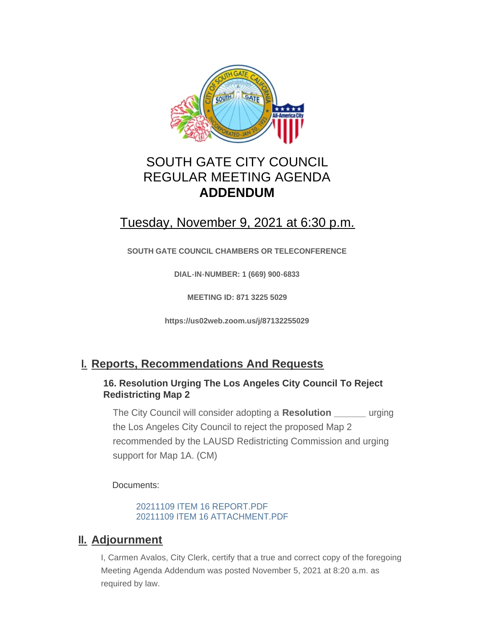

## SOUTH GATE CITY COUNCIL REGULAR MEETING AGENDA **ADDENDUM**

# Tuesday, November 9, 2021 at 6:30 p.m.

**SOUTH GATE COUNCIL CHAMBERS OR TELECONFERENCE**

**DIAL-IN-NUMBER: 1 (669) 900-6833**

**MEETING ID: 871 3225 5029**

**https://us02web.zoom.us/j/87132255029**

## **Reports, Recommendations And Requests I.**

#### **16. Resolution Urging The Los Angeles City Council To Reject Redistricting Map 2**

The City Council will consider adopting a **Resolution \_\_\_\_\_\_** urging the Los Angeles City Council to reject the proposed Map 2 recommended by the LAUSD Redistricting Commission and urging support for Map 1A. (CM)

Documents:

20211109 ITEM 16 REPORT.PDF 20211109 ITEM 16 ATTACHMENT.PDF

### **II. Adjournment**

I, Carmen Avalos, City Clerk, certify that a true and correct copy of the foregoing Meeting Agenda Addendum was posted November 5, 2021 at 8:20 a.m. as required by law.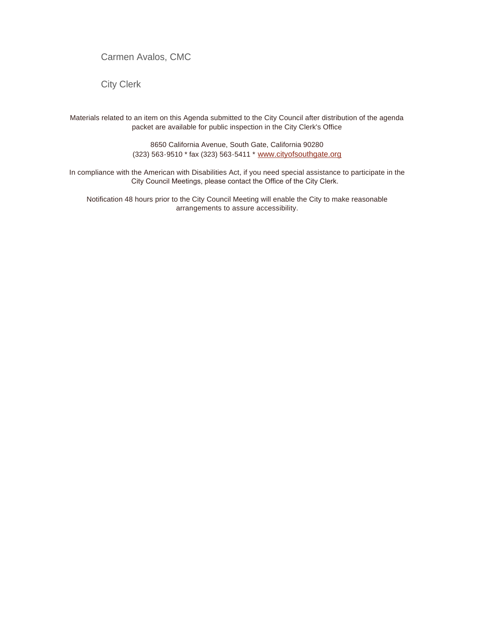Carmen Avalos, CMC

City Clerk

Materials related to an item on this Agenda submitted to the City Council after distribution of the agenda packet are available for public inspection in the City Clerk's Office

> 8650 California Avenue, South Gate, California 90280 (323) 563-9510 \* fax (323) 563-5411 \* [www.cityofsouthgate.org](http://www.cityofsouthgate.org/)

In compliance with the American with Disabilities Act, if you need special assistance to participate in the City Council Meetings, please contact the Office of the City Clerk.

Notification 48 hours prior to the City Council Meeting will enable the City to make reasonable arrangements to assure accessibility.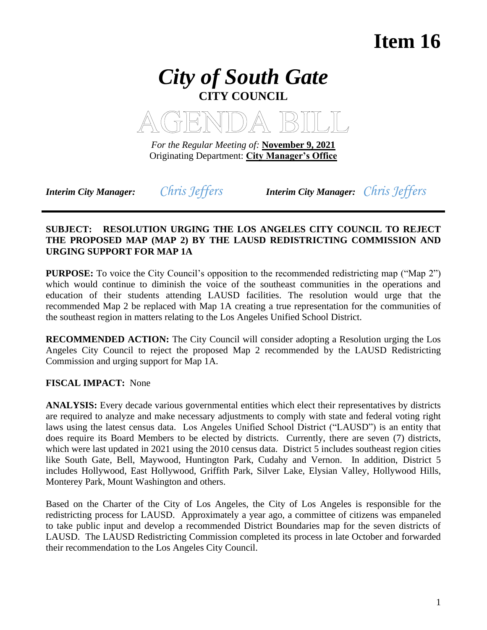# **Item 16**





*For the Regular Meeting of:* **November 9, 2021** Originating Department: **City Manager's Office**

*Interim City Manager: Chris Jeffers Interim City Manager: Chris Jeffers* 

#### **SUBJECT: RESOLUTION URGING THE LOS ANGELES CITY COUNCIL TO REJECT THE PROPOSED MAP (MAP 2) BY THE LAUSD REDISTRICTING COMMISSION AND URGING SUPPORT FOR MAP 1A**

**PURPOSE:** To voice the City Council's opposition to the recommended redistricting map ("Map 2") which would continue to diminish the voice of the southeast communities in the operations and education of their students attending LAUSD facilities. The resolution would urge that the recommended Map 2 be replaced with Map 1A creating a true representation for the communities of the southeast region in matters relating to the Los Angeles Unified School District.

**RECOMMENDED ACTION:** The City Council will consider adopting a Resolution urging the Los Angeles City Council to reject the proposed Map 2 recommended by the LAUSD Redistricting Commission and urging support for Map 1A.

**FISCAL IMPACT:** None

**ANALYSIS:** Every decade various governmental entities which elect their representatives by districts are required to analyze and make necessary adjustments to comply with state and federal voting right laws using the latest census data. Los Angeles Unified School District ("LAUSD") is an entity that does require its Board Members to be elected by districts. Currently, there are seven (7) districts, which were last updated in 2021 using the 2010 census data. District 5 includes southeast region cities like South Gate, Bell, Maywood, Huntington Park, Cudahy and Vernon. In addition, District 5 includes Hollywood, East Hollywood, Griffith Park, Silver Lake, Elysian Valley, Hollywood Hills, Monterey Park, Mount Washington and others.

Based on the Charter of the City of Los Angeles, the City of Los Angeles is responsible for the redistricting process for LAUSD. Approximately a year ago, a committee of citizens was empaneled to take public input and develop a recommended District Boundaries map for the seven districts of LAUSD. The LAUSD Redistricting Commission completed its process in late October and forwarded their recommendation to the Los Angeles City Council.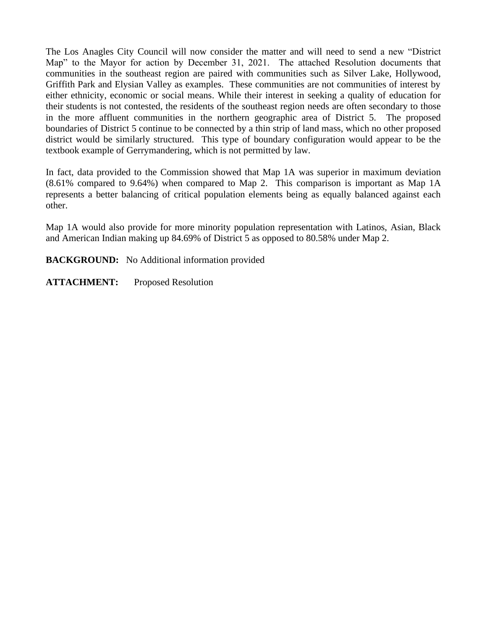The Los Anagles City Council will now consider the matter and will need to send a new "District Map" to the Mayor for action by December 31, 2021. The attached Resolution documents that communities in the southeast region are paired with communities such as Silver Lake, Hollywood, Griffith Park and Elysian Valley as examples. These communities are not communities of interest by either ethnicity, economic or social means. While their interest in seeking a quality of education for their students is not contested, the residents of the southeast region needs are often secondary to those in the more affluent communities in the northern geographic area of District 5. The proposed boundaries of District 5 continue to be connected by a thin strip of land mass, which no other proposed district would be similarly structured. This type of boundary configuration would appear to be the textbook example of Gerrymandering, which is not permitted by law.

In fact, data provided to the Commission showed that Map 1A was superior in maximum deviation (8.61% compared to 9.64%) when compared to Map 2. This comparison is important as Map 1A represents a better balancing of critical population elements being as equally balanced against each other.

Map 1A would also provide for more minority population representation with Latinos, Asian, Black and American Indian making up 84.69% of District 5 as opposed to 80.58% under Map 2.

**BACKGROUND:** No Additional information provided

**ATTACHMENT:** Proposed Resolution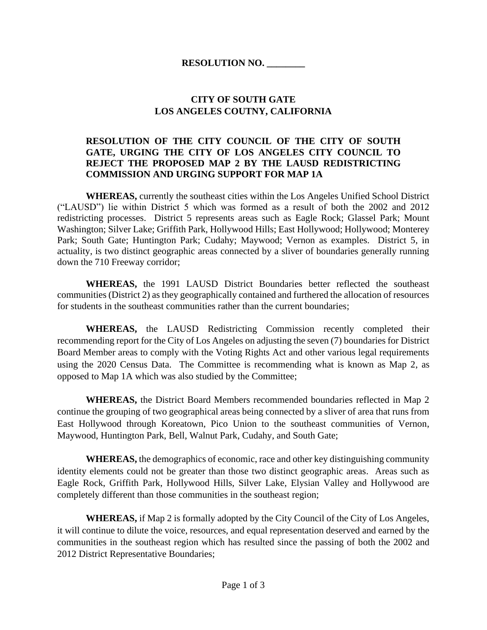#### **CITY OF SOUTH GATE LOS ANGELES COUTNY, CALIFORNIA**

#### **RESOLUTION OF THE CITY COUNCIL OF THE CITY OF SOUTH GATE, URGING THE CITY OF LOS ANGELES CITY COUNCIL TO REJECT THE PROPOSED MAP 2 BY THE LAUSD REDISTRICTING COMMISSION AND URGING SUPPORT FOR MAP 1A**

**WHEREAS,** currently the southeast cities within the Los Angeles Unified School District ("LAUSD") lie within District 5 which was formed as a result of both the 2002 and 2012 redistricting processes. District 5 represents areas such as Eagle Rock; Glassel Park; Mount Washington; Silver Lake; Griffith Park, Hollywood Hills; East Hollywood; Hollywood; Monterey Park; South Gate; Huntington Park; Cudahy; Maywood; Vernon as examples. District 5, in actuality, is two distinct geographic areas connected by a sliver of boundaries generally running down the 710 Freeway corridor;

**WHEREAS,** the 1991 LAUSD District Boundaries better reflected the southeast communities (District 2) as they geographically contained and furthered the allocation of resources for students in the southeast communities rather than the current boundaries;

**WHEREAS,** the LAUSD Redistricting Commission recently completed their recommending report for the City of Los Angeles on adjusting the seven (7) boundaries for District Board Member areas to comply with the Voting Rights Act and other various legal requirements using the 2020 Census Data. The Committee is recommending what is known as Map 2, as opposed to Map 1A which was also studied by the Committee;

**WHEREAS,** the District Board Members recommended boundaries reflected in Map 2 continue the grouping of two geographical areas being connected by a sliver of area that runs from East Hollywood through Koreatown, Pico Union to the southeast communities of Vernon, Maywood, Huntington Park, Bell, Walnut Park, Cudahy, and South Gate;

**WHEREAS,** the demographics of economic, race and other key distinguishing community identity elements could not be greater than those two distinct geographic areas. Areas such as Eagle Rock, Griffith Park, Hollywood Hills, Silver Lake, Elysian Valley and Hollywood are completely different than those communities in the southeast region;

**WHEREAS,** if Map 2 is formally adopted by the City Council of the City of Los Angeles, it will continue to dilute the voice, resources, and equal representation deserved and earned by the communities in the southeast region which has resulted since the passing of both the 2002 and 2012 District Representative Boundaries;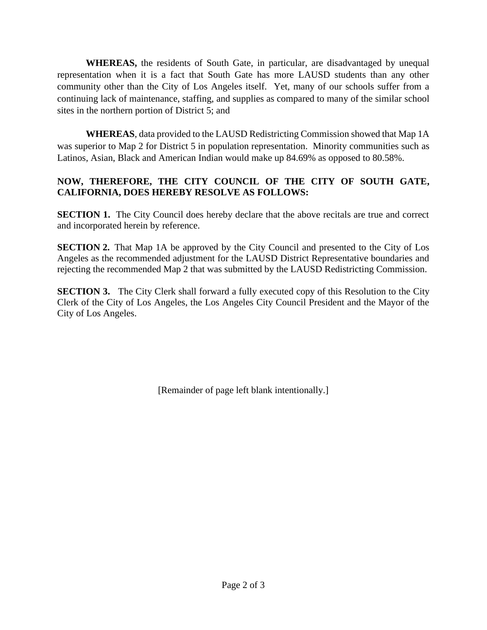**WHEREAS,** the residents of South Gate, in particular, are disadvantaged by unequal representation when it is a fact that South Gate has more LAUSD students than any other community other than the City of Los Angeles itself. Yet, many of our schools suffer from a continuing lack of maintenance, staffing, and supplies as compared to many of the similar school sites in the northern portion of District 5; and

**WHEREAS**, data provided to the LAUSD Redistricting Commission showed that Map 1A was superior to Map 2 for District 5 in population representation. Minority communities such as Latinos, Asian, Black and American Indian would make up 84.69% as opposed to 80.58%.

#### **NOW, THEREFORE, THE CITY COUNCIL OF THE CITY OF SOUTH GATE, CALIFORNIA, DOES HEREBY RESOLVE AS FOLLOWS:**

**SECTION 1.** The City Council does hereby declare that the above recitals are true and correct and incorporated herein by reference.

**SECTION 2.** That Map 1A be approved by the City Council and presented to the City of Los Angeles as the recommended adjustment for the LAUSD District Representative boundaries and rejecting the recommended Map 2 that was submitted by the LAUSD Redistricting Commission.

**SECTION 3.** The City Clerk shall forward a fully executed copy of this Resolution to the City Clerk of the City of Los Angeles, the Los Angeles City Council President and the Mayor of the City of Los Angeles.

[Remainder of page left blank intentionally.]